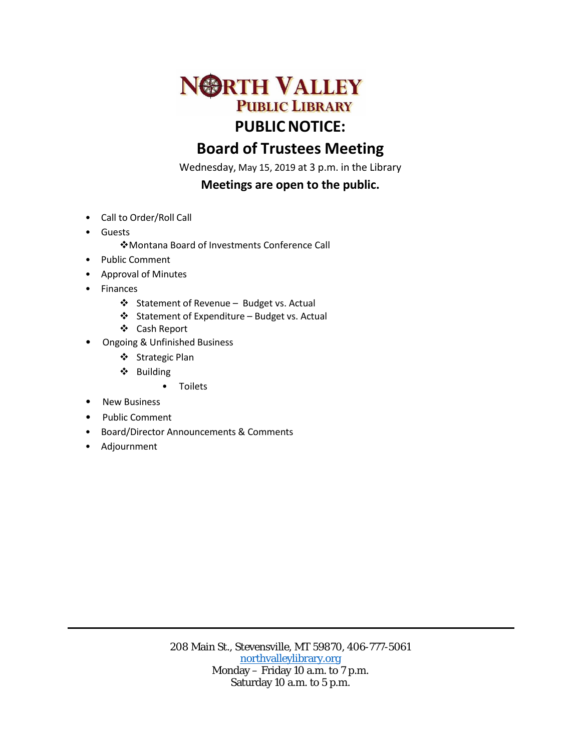

## **Board of Trustees Meeting**

Wednesday, May 15, 2019 at 3 p.m. in the Library

## **Meetings are open to the public.**

- Call to Order/Roll Call
- Guests
	- Montana Board of Investments Conference Call
- Public Comment
- Approval of Minutes
- **Finances** 
	- Statement of Revenue Budget vs. Actual
	- Statement of Expenditure Budget vs. Actual
	- Cash Report
- Ongoing & Unfinished Business
	- ❖ Strategic Plan
	- ❖ Building
		- Toilets
- New Business
- Public Comment
- Board/Director Announcements & Comments
- Adjournment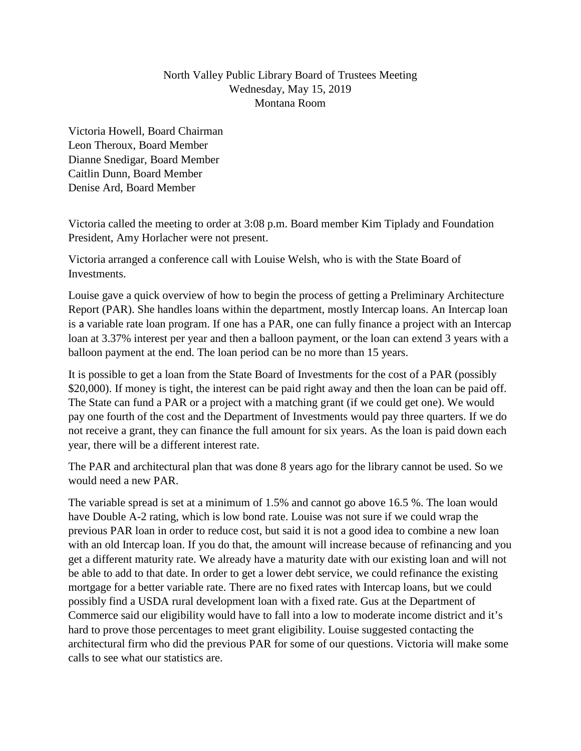## North Valley Public Library Board of Trustees Meeting Wednesday, May 15, 2019 Montana Room

Victoria Howell, Board Chairman Leon Theroux, Board Member Dianne Snedigar, Board Member Caitlin Dunn, Board Member Denise Ard, Board Member

Victoria called the meeting to order at 3:08 p.m. Board member Kim Tiplady and Foundation President, Amy Horlacher were not present.

Victoria arranged a conference call with Louise Welsh, who is with the State Board of Investments.

Louise gave a quick overview of how to begin the process of getting a Preliminary Architecture Report (PAR). She handles loans within the department, mostly Intercap loans. An Intercap loan is a variable rate loan program. If one has a PAR, one can fully finance a project with an Intercap loan at 3.37% interest per year and then a balloon payment, or the loan can extend 3 years with a balloon payment at the end. The loan period can be no more than 15 years.

It is possible to get a loan from the State Board of Investments for the cost of a PAR (possibly \$20,000). If money is tight, the interest can be paid right away and then the loan can be paid off. The State can fund a PAR or a project with a matching grant (if we could get one). We would pay one fourth of the cost and the Department of Investments would pay three quarters. If we do not receive a grant, they can finance the full amount for six years. As the loan is paid down each year, there will be a different interest rate.

The PAR and architectural plan that was done 8 years ago for the library cannot be used. So we would need a new PAR.

The variable spread is set at a minimum of 1.5% and cannot go above 16.5 %. The loan would have Double A-2 rating, which is low bond rate. Louise was not sure if we could wrap the previous PAR loan in order to reduce cost, but said it is not a good idea to combine a new loan with an old Intercap loan. If you do that, the amount will increase because of refinancing and you get a different maturity rate. We already have a maturity date with our existing loan and will not be able to add to that date. In order to get a lower debt service, we could refinance the existing mortgage for a better variable rate. There are no fixed rates with Intercap loans, but we could possibly find a USDA rural development loan with a fixed rate. Gus at the Department of Commerce said our eligibility would have to fall into a low to moderate income district and it's hard to prove those percentages to meet grant eligibility. Louise suggested contacting the architectural firm who did the previous PAR for some of our questions. Victoria will make some calls to see what our statistics are.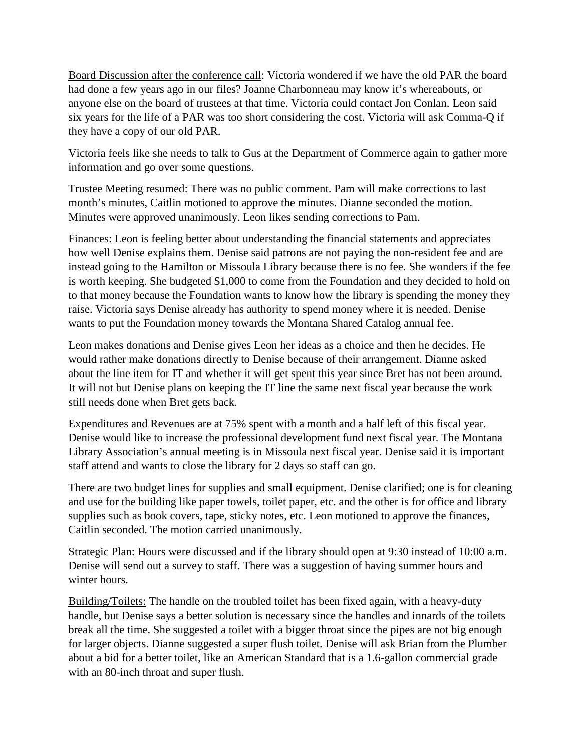Board Discussion after the conference call: Victoria wondered if we have the old PAR the board had done a few years ago in our files? Joanne Charbonneau may know it's whereabouts, or anyone else on the board of trustees at that time. Victoria could contact Jon Conlan. Leon said six years for the life of a PAR was too short considering the cost. Victoria will ask Comma-Q if they have a copy of our old PAR.

Victoria feels like she needs to talk to Gus at the Department of Commerce again to gather more information and go over some questions.

Trustee Meeting resumed: There was no public comment. Pam will make corrections to last month's minutes, Caitlin motioned to approve the minutes. Dianne seconded the motion. Minutes were approved unanimously. Leon likes sending corrections to Pam.

Finances: Leon is feeling better about understanding the financial statements and appreciates how well Denise explains them. Denise said patrons are not paying the non-resident fee and are instead going to the Hamilton or Missoula Library because there is no fee. She wonders if the fee is worth keeping. She budgeted \$1,000 to come from the Foundation and they decided to hold on to that money because the Foundation wants to know how the library is spending the money they raise. Victoria says Denise already has authority to spend money where it is needed. Denise wants to put the Foundation money towards the Montana Shared Catalog annual fee.

Leon makes donations and Denise gives Leon her ideas as a choice and then he decides. He would rather make donations directly to Denise because of their arrangement. Dianne asked about the line item for IT and whether it will get spent this year since Bret has not been around. It will not but Denise plans on keeping the IT line the same next fiscal year because the work still needs done when Bret gets back.

Expenditures and Revenues are at 75% spent with a month and a half left of this fiscal year. Denise would like to increase the professional development fund next fiscal year. The Montana Library Association's annual meeting is in Missoula next fiscal year. Denise said it is important staff attend and wants to close the library for 2 days so staff can go.

There are two budget lines for supplies and small equipment. Denise clarified; one is for cleaning and use for the building like paper towels, toilet paper, etc. and the other is for office and library supplies such as book covers, tape, sticky notes, etc. Leon motioned to approve the finances, Caitlin seconded. The motion carried unanimously.

Strategic Plan: Hours were discussed and if the library should open at 9:30 instead of 10:00 a.m. Denise will send out a survey to staff. There was a suggestion of having summer hours and winter hours.

Building/Toilets: The handle on the troubled toilet has been fixed again, with a heavy-duty handle, but Denise says a better solution is necessary since the handles and innards of the toilets break all the time. She suggested a toilet with a bigger throat since the pipes are not big enough for larger objects. Dianne suggested a super flush toilet. Denise will ask Brian from the Plumber about a bid for a better toilet, like an American Standard that is a 1.6-gallon commercial grade with an 80-inch throat and super flush.